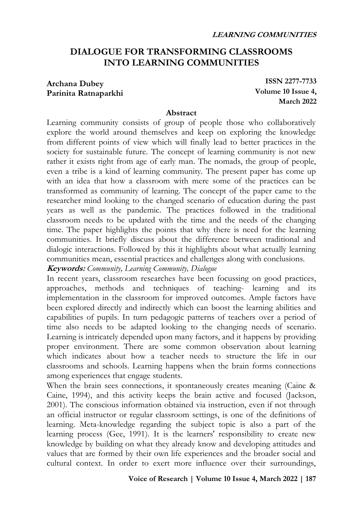# **DIALOGUE FOR TRANSFORMING CLASSROOMS INTO LEARNING COMMUNITIES**

#### **Archana Dubey Parinita Ratnaparkhi**

**ISSN 2277-7733 Volume 10 Issue 4, March 2022**

#### **Abstract**

Learning community consists of group of people those who collaboratively explore the world around themselves and keep on exploring the knowledge from different points of view which will finally lead to better practices in the society for sustainable future. The concept of learning community is not new rather it exists right from age of early man. The nomads, the group of people, even a tribe is a kind of learning community. The present paper has come up with an idea that how a classroom with mere some of the practices can be transformed as community of learning. The concept of the paper came to the researcher mind looking to the changed scenario of education during the past years as well as the pandemic. The practices followed in the traditional classroom needs to be updated with the time and the needs of the changing time. The paper highlights the points that why there is need for the learning communities. It briefly discuss about the difference between traditional and dialogic interactions. Followed by this it highlights about what actually learning communities mean, essential practices and challenges along with conclusions.

**Keywords:** *Community, Learning Community, Dialogue*

In recent years, classroom researches have been focussing on good practices, approaches, methods and techniques of teaching- learning and its implementation in the classroom for improved outcomes. Ample factors have been explored directly and indirectly which can boost the learning abilities and capabilities of pupils. In turn pedagogic patterns of teachers over a period of time also needs to be adapted looking to the changing needs of scenario. Learning is intricately depended upon many factors, and it happens by providing proper environment. There are some common observation about learning which indicates about how a teacher needs to structure the life in our classrooms and schools. Learning happens when the brain forms connections among experiences that engage students.

When the brain sees connections, it spontaneously creates meaning (Caine & Caine, 1994), and this activity keeps the brain active and focused (Jackson, 2001). The conscious information obtained via instruction, even if not through an official instructor or regular classroom settings, is one of the definitions of learning. Meta-knowledge regarding the subject topic is also a part of the learning process (Gee, 1991). It is the learners' responsibility to create new knowledge by building on what they already know and developing attitudes and values that are formed by their own life experiences and the broader social and cultural context. In order to exert more influence over their surroundings,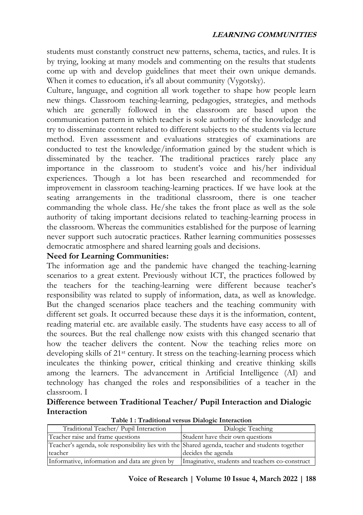students must constantly construct new patterns, schema, tactics, and rules. It is by trying, looking at many models and commenting on the results that students come up with and develop guidelines that meet their own unique demands. When it comes to education, it's all about community (Vygotsky).

Culture, language, and cognition all work together to shape how people learn new things. Classroom teaching-learning, pedagogies, strategies, and methods which are generally followed in the classroom are based upon the communication pattern in which teacher is sole authority of the knowledge and try to disseminate content related to different subjects to the students via lecture method. Even assessment and evaluations strategies of examinations are conducted to test the knowledge/information gained by the student which is disseminated by the teacher. The traditional practices rarely place any importance in the classroom to student's voice and his/her individual experiences. Though a lot has been researched and recommended for improvement in classroom teaching-learning practices. If we have look at the seating arrangements in the traditional classroom, there is one teacher commanding the whole class. He/she takes the front place as well as the sole authority of taking important decisions related to teaching-learning process in the classroom. Whereas the communities established for the purpose of learning never support such autocratic practices. Rather learning communities possesses democratic atmosphere and shared learning goals and decisions.

## **Need for Learning Communities:**

The information age and the pandemic have changed the teaching-learning scenarios to a great extent. Previously without ICT, the practices followed by the teachers for the teaching-learning were different because teacher's responsibility was related to supply of information, data, as well as knowledge. But the changed scenarios place teachers and the teaching community with different set goals. It occurred because these days it is the information, content, reading material etc. are available easily. The students have easy access to all of the sources. But the real challenge now exists with this changed scenario that how the teacher delivers the content. Now the teaching relies more on developing skills of 21st century. It stress on the teaching-learning process which inculcates the thinking power, critical thinking and creative thinking skills among the learners. The advancement in Artificial Intelligence (AI) and technology has changed the roles and responsibilities of a teacher in the classroom. I

### **Difference between Traditional Teacher/ Pupil Interaction and Dialogic Interaction**

| Traditional Teacher/ Pupil Interaction                                                           | Dialogic Teaching                               |
|--------------------------------------------------------------------------------------------------|-------------------------------------------------|
| Teacher raise and frame questions                                                                | Student have their own questions                |
| Teacher's agenda, sole responsibility lies with the Shared agenda, teacher and students together |                                                 |
| teacher                                                                                          | decides the agenda                              |
| Informative, information and data are given by                                                   | Imaginative, students and teachers co-construct |

**Table 1 : Traditional versus Dialogic Interaction**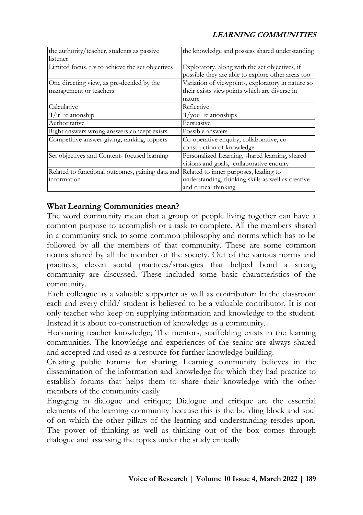### **LEARNING COMMUNITIES**

| the authority/teacher, students as passive                                             | the knowledge and possess shared understanding     |
|----------------------------------------------------------------------------------------|----------------------------------------------------|
| listener                                                                               |                                                    |
| Limited focus, try to achieve the set objectives                                       | Exploratory, along with the set objectives, if     |
|                                                                                        | possible they are able to explore other areas too  |
| One directing view, as pre-decided by the                                              | Variation of viewpoints, exploratory in nature so  |
| management or teachers                                                                 | their exists viewpoints which are diverse in       |
|                                                                                        | nature                                             |
| Calculative                                                                            | Reflective                                         |
| $1/it'$ relationship                                                                   | $1$ /you' relationships                            |
| Authoritative                                                                          | Persuasive                                         |
| Right answers wrong answers concept exists                                             | Possible answers                                   |
| Competitive answer-giving, ranking, toppers                                            | Co-operative enquiry, collaborative, co-           |
|                                                                                        | construction of knowledge                          |
| Set objectives and Content-focused learning                                            | Personalized Learning, shared learning, shared     |
|                                                                                        | visions and goals, collaborative enquiry           |
| Related to functional outcomes, gaining data and Related to inner purposes, leading to |                                                    |
| information                                                                            | understanding, thinking skills as well as creative |
|                                                                                        | and critical thinking                              |

### **What Learning Communities mean?**

The word community mean that a group of people living together can have a common purpose to accomplish or a task to complete. All the members shared in a community stick to some common philosophy and norms which has to be followed by all the members of that community. These are some common norms shared by all the member of the society. Out of the various norms and practices, eleven social practices/strategies that helped bond a strong community are discussed. These included some basic characteristics of the community.

Each colleague as a valuable supporter as well as contributor: In the classroom each and every child/ student is believed to be a valuable contributor. It is not only teacher who keep on supplying information and knowledge to the student. Instead it is about co-construction of knowledge as a community.

Honouring teacher knowledge; The mentors, scaffolding exists in the learning communities. The knowledge and experiences of the senior are always shared and accepted and used as a resource for further knowledge building.

Creating public forums for sharing; Learning community believes in the dissemination of the information and knowledge for which they had practice to establish forums that helps them to share their knowledge with the other members of the community easily

Engaging in dialogue and critique; Dialogue and critique are the essential elements of the learning community because this is the building block and soul of on which the other pillars of the learning and understanding resides upon. The power of thinking as well as thinking out of the box comes through dialogue and assessing the topics under the study critically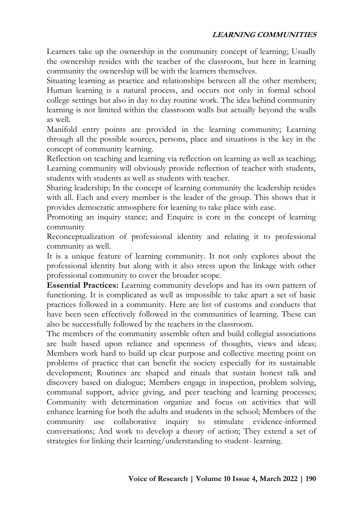#### **LEARNING COMMUNITIES**

Learners take up the ownership in the community concept of learning; Usually the ownership resides with the teacher of the classroom, but here in learning community the ownership will be with the learners themselves.

Situating learning as practice and relationships between all the other members; Human learning is a natural process, and occurs not only in formal school college settings but also in day to day routine work. The idea behind community learning is not limited within the classroom walls but actually beyond the walls as well.

Manifold entry points are provided in the learning community; Learning through all the possible sources, persons, place and situations is the key in the concept of community learning.

Reflection on teaching and learning via reflection on learning as well as teaching; Learning community will obviously provide reflection of teacher with students, students with students as well as students with teacher.

Sharing leadership; In the concept of learning community the leadership resides with all. Each and every member is the leader of the group. This shows that it provides democratic atmosphere for learning to take place with ease.

Promoting an inquiry stance; and Enquire is core in the concept of learning community

Reconceptualization of professional identity and relating it to professional community as well.

It is a unique feature of learning community. It not only explores about the professional identity but along with it also stress upon the linkage with other professional community to cover the broader scope.

**Essential Practices:** Learning community develops and has its own pattern of functioning. It is complicated as well as impossible to take apart a set of basic practices followed in a community. Here are list of customs and conducts that have been seen effectively followed in the communities of learning. These can also be successfully followed by the teachers in the classroom.

The members of the community assemble often and build collegial associations are built based upon reliance and openness of thoughts, views and ideas; Members work hard to build up clear purpose and collective meeting point on problems of practice that can benefit the society especially for its sustainable development; Routines are shaped and rituals that sustain honest talk and discovery based on dialogue; Members engage in inspection, problem solving, communal support, advice giving, and peer teaching and learning processes; Community with determination organize and focus on activities that will enhance learning for both the adults and students in the school; Members of the community use collaborative inquiry to stimulate evidence-informed conversations; And work to develop a theory of action; They extend a set of strategies for linking their learning/understanding to student- learning.